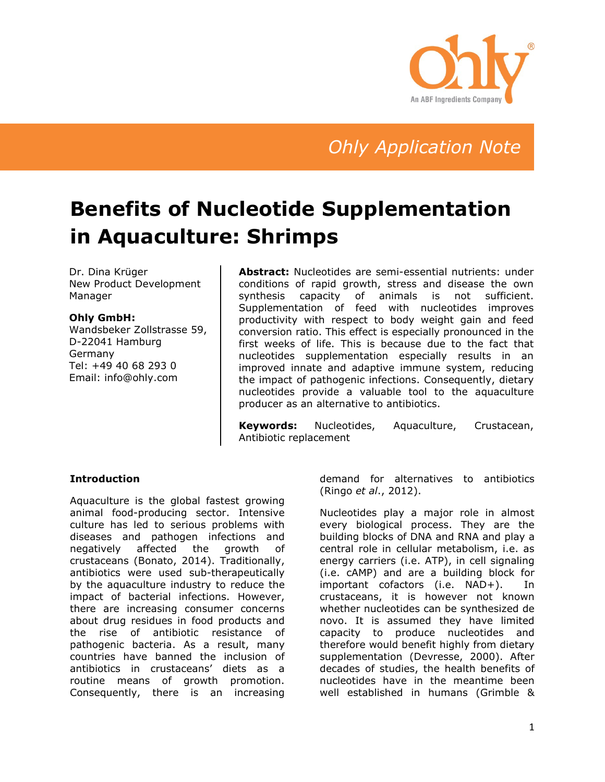

*Ohly Application Note*

# **Benefits of Nucleotide Supplementation in Aquaculture: Shrimps**

Dr. Dina Krüger New Product Development Manager

#### **Ohly GmbH:**

Wandsbeker Zollstrasse 59, D-22041 Hamburg Germany Tel: +49 40 68 293 0 Email: info@ohly.com

**Abstract:** Nucleotides are semi-essential nutrients: under conditions of rapid growth, stress and disease the own synthesis capacity of animals is not sufficient. Supplementation of feed with nucleotides improves productivity with respect to body weight gain and feed conversion ratio. This effect is especially pronounced in the first weeks of life. This is because due to the fact that nucleotides supplementation especially results in an improved innate and adaptive immune system, reducing the impact of pathogenic infections. Consequently, dietary nucleotides provide a valuable tool to the aquaculture producer as an alternative to antibiotics.

**Keywords:** Nucleotides, Aquaculture, Crustacean, Antibiotic replacement

### **Introduction**

Aquaculture is the global fastest growing animal food-producing sector. Intensive culture has led to serious problems with diseases and pathogen infections and negatively affected the growth of crustaceans (Bonato, 2014). Traditionally, antibiotics were used sub-therapeutically by the aquaculture industry to reduce the impact of bacterial infections. However, there are increasing consumer concerns about drug residues in food products and the rise of antibiotic resistance of pathogenic bacteria. As a result, many countries have banned the inclusion of antibiotics in crustaceans' diets as a routine means of growth promotion. Consequently, there is an increasing

demand for alternatives to antibiotics (Ringo *et al*., 2012).

Nucleotides play a major role in almost every biological process. They are the building blocks of DNA and RNA and play a central role in cellular metabolism, i.e. as energy carriers (i.e. ATP), in cell signaling (i.e. cAMP) and are a building block for important cofactors (i.e. NAD+). In crustaceans, it is however not known whether nucleotides can be synthesized de novo. It is assumed they have limited capacity to produce nucleotides and therefore would benefit highly from dietary supplementation (Devresse, 2000). After decades of studies, the health benefits of nucleotides have in the meantime been well established in humans (Grimble &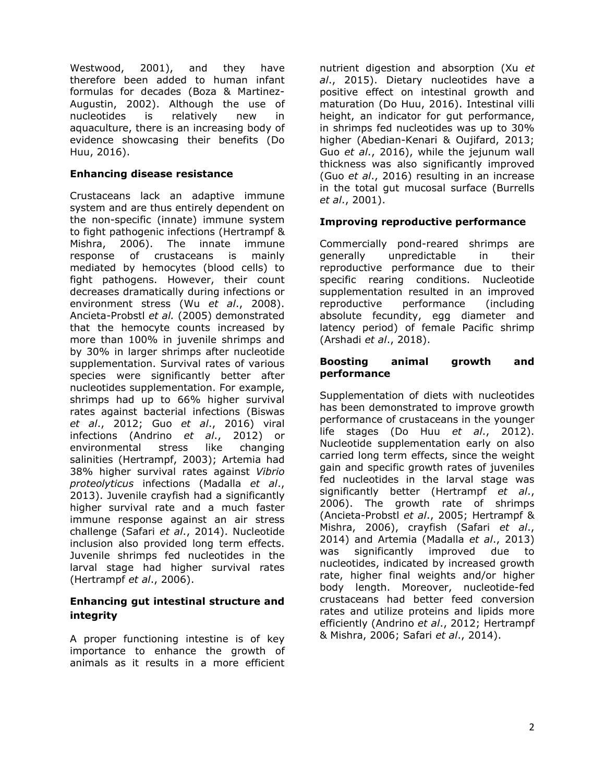Westwood, 2001), and they have therefore been added to human infant formulas for decades (Boza & Martinez-Augustin, 2002). Although the use of nucleotides is relatively new in aquaculture, there is an increasing body of evidence showcasing their benefits (Do Huu, 2016).

## **Enhancing disease resistance**

Crustaceans lack an adaptive immune system and are thus entirely dependent on the non-specific (innate) immune system to fight pathogenic infections (Hertrampf & Mishra, 2006). The innate immune response of crustaceans is mainly mediated by hemocytes (blood cells) to fight pathogens. However, their count decreases dramatically during infections or environment stress (Wu *et al*., 2008). Ancieta-Probstl *et al.* (2005) demonstrated that the hemocyte counts increased by more than 100% in juvenile shrimps and by 30% in larger shrimps after nucleotide supplementation. Survival rates of various species were significantly better after nucleotides supplementation. For example, shrimps had up to 66% higher survival rates against bacterial infections (Biswas *et al*., 2012; Guo *et al*., 2016) viral infections (Andrino *et al*., 2012) or environmental stress like changing salinities (Hertrampf, 2003); Artemia had 38% higher survival rates against *Vibrio proteolyticus* infections (Madalla *et al*., 2013). Juvenile crayfish had a significantly higher survival rate and a much faster immune response against an air stress challenge (Safari *et al*., 2014). Nucleotide inclusion also provided long term effects. Juvenile shrimps fed nucleotides in the larval stage had higher survival rates (Hertrampf *et al*., 2006).

## **Enhancing gut intestinal structure and integrity**

A proper functioning intestine is of key importance to enhance the growth of animals as it results in a more efficient

nutrient digestion and absorption (Xu *et al*., 2015). Dietary nucleotides have a positive effect on intestinal growth and maturation (Do Huu, 2016). Intestinal villi height, an indicator for gut performance, in shrimps fed nucleotides was up to 30% higher (Abedian-Kenari & Oujifard, 2013; Guo *et al*., 2016), while the jejunum wall thickness was also significantly improved (Guo *et al*., 2016) resulting in an increase in the total gut mucosal surface (Burrells *et al*., 2001).

## **Improving reproductive performance**

Commercially pond-reared shrimps are generally unpredictable in their reproductive performance due to their specific rearing conditions. Nucleotide supplementation resulted in an improved reproductive performance (including absolute fecundity, egg diameter and latency period) of female Pacific shrimp (Arshadi *et al*., 2018).

### **Boosting animal growth and performance**

Supplementation of diets with nucleotides has been demonstrated to improve growth performance of crustaceans in the younger life stages (Do Huu *et al*., 2012). Nucleotide supplementation early on also carried long term effects, since the weight gain and specific growth rates of juveniles fed nucleotides in the larval stage was significantly better (Hertrampf *et al*., 2006). The growth rate of shrimps (Ancieta-Probstl *et al*., 2005; Hertrampf & Mishra, 2006), crayfish (Safari *et al*., 2014) and Artemia (Madalla *et al*., 2013) was significantly improved due to nucleotides, indicated by increased growth rate, higher final weights and/or higher body length. Moreover, nucleotide-fed crustaceans had better feed conversion rates and utilize proteins and lipids more efficiently (Andrino *et al*., 2012; Hertrampf & Mishra, 2006; Safari *et al*., 2014).